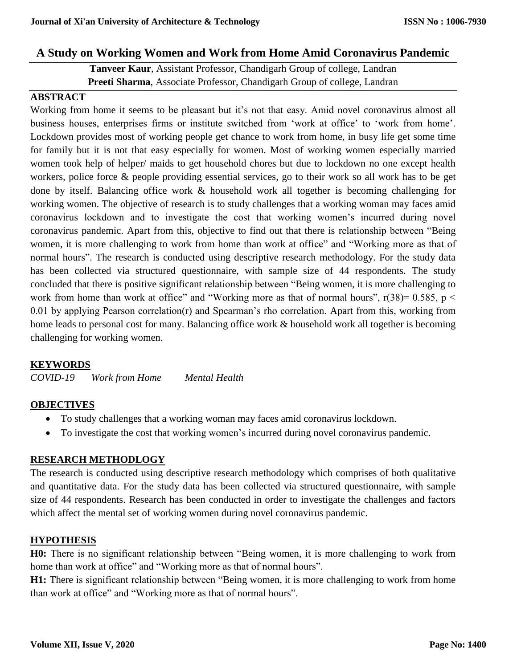# **A Study on Working Women and Work from Home Amid Coronavirus Pandemic**

**Tanveer Kaur**, Assistant Professor, Chandigarh Group of college, Landran **Preeti Sharma**, Associate Professor, Chandigarh Group of college, Landran

## **ABSTRACT**

Working from home it seems to be pleasant but it's not that easy. Amid novel coronavirus almost all business houses, enterprises firms or institute switched from 'work at office' to 'work from home'. Lockdown provides most of working people get chance to work from home, in busy life get some time for family but it is not that easy especially for women. Most of working women especially married women took help of helper/ maids to get household chores but due to lockdown no one except health workers, police force & people providing essential services, go to their work so all work has to be get done by itself. Balancing office work & household work all together is becoming challenging for working women. The objective of research is to study challenges that a working woman may faces amid coronavirus lockdown and to investigate the cost that working women's incurred during novel coronavirus pandemic. Apart from this, objective to find out that there is relationship between "Being women, it is more challenging to work from home than work at office" and "Working more as that of normal hours". The research is conducted using descriptive research methodology. For the study data has been collected via structured questionnaire, with sample size of 44 respondents. The study concluded that there is positive significant relationship between "Being women, it is more challenging to work from home than work at office" and "Working more as that of normal hours",  $r(38)=0.585$ ,  $p <$ 0.01 by applying Pearson correlation(r) and Spearman's rho correlation. Apart from this, working from home leads to personal cost for many. Balancing office work & household work all together is becoming challenging for working women.

# **KEYWORDS**

*COVID-19 Work from Home Mental Health*

#### **OBJECTIVES**

- To study challenges that a working woman may faces amid coronavirus lockdown.
- To investigate the cost that working women's incurred during novel coronavirus pandemic.

# **RESEARCH METHODLOGY**

The research is conducted using descriptive research methodology which comprises of both qualitative and quantitative data. For the study data has been collected via structured questionnaire, with sample size of 44 respondents. Research has been conducted in order to investigate the challenges and factors which affect the mental set of working women during novel coronavirus pandemic.

#### **HYPOTHESIS**

**H0:** There is no significant relationship between "Being women, it is more challenging to work from home than work at office" and "Working more as that of normal hours".

**H1:** There is significant relationship between "Being women, it is more challenging to work from home than work at office" and "Working more as that of normal hours".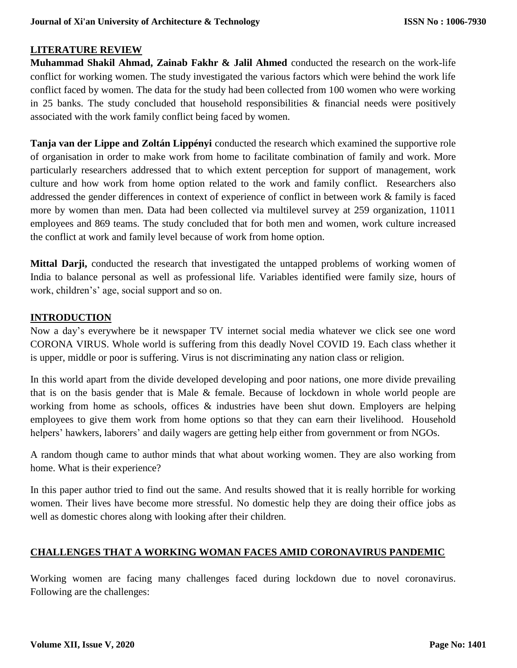# **LITERATURE REVIEW**

**Muhammad Shakil Ahmad, Zainab Fakhr & Jalil Ahmed** conducted the research on the work-life conflict for working women. The study investigated the various factors which were behind the work life conflict faced by women. The data for the study had been collected from 100 women who were working in 25 banks. The study concluded that household responsibilities  $\&$  financial needs were positively associated with the work family conflict being faced by women.

**Tanja van der Lippe and Zoltán Lippényi** conducted the research which examined the supportive role of organisation in order to make work from home to facilitate combination of family and work. More particularly researchers addressed that to which extent perception for support of management, work culture and how work from home option related to the work and family conflict. Researchers also addressed the gender differences in context of experience of conflict in between work & family is faced more by women than men. Data had been collected via multilevel survey at 259 organization, 11011 employees and 869 teams. The study concluded that for both men and women, work culture increased the conflict at work and family level because of work from home option.

**Mittal Darji,** conducted the research that investigated the untapped problems of working women of India to balance personal as well as professional life. Variables identified were family size, hours of work, children's' age, social support and so on.

## **INTRODUCTION**

Now a day's everywhere be it newspaper TV internet social media whatever we click see one word CORONA VIRUS. Whole world is suffering from this deadly Novel COVID 19. Each class whether it is upper, middle or poor is suffering. Virus is not discriminating any nation class or religion.

In this world apart from the divide developed developing and poor nations, one more divide prevailing that is on the basis gender that is Male & female. Because of lockdown in whole world people are working from home as schools, offices & industries have been shut down. Employers are helping employees to give them work from home options so that they can earn their livelihood. Household helpers' hawkers, laborers' and daily wagers are getting help either from government or from NGOs.

A random though came to author minds that what about working women. They are also working from home. What is their experience?

In this paper author tried to find out the same. And results showed that it is really horrible for working women. Their lives have become more stressful. No domestic help they are doing their office jobs as well as domestic chores along with looking after their children.

# **CHALLENGES THAT A WORKING WOMAN FACES AMID CORONAVIRUS PANDEMIC**

Working women are facing many challenges faced during lockdown due to novel coronavirus. Following are the challenges: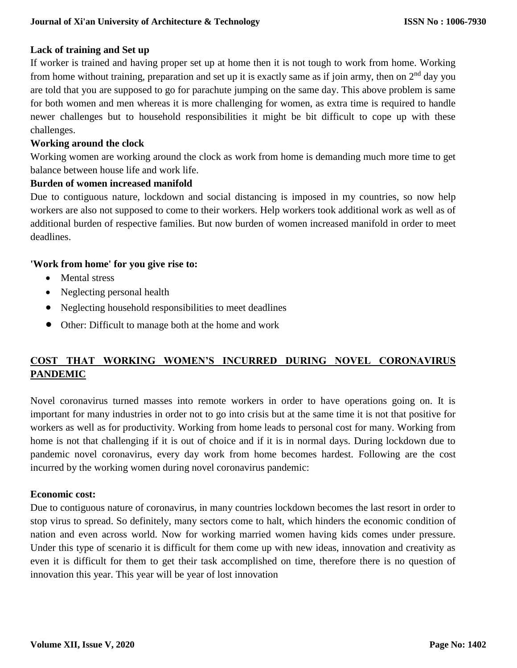# **Lack of training and Set up**

If worker is trained and having proper set up at home then it is not tough to work from home. Working from home without training, preparation and set up it is exactly same as if join army, then on 2<sup>nd</sup> day you are told that you are supposed to go for parachute jumping on the same day. This above problem is same for both women and men whereas it is more challenging for women, as extra time is required to handle newer challenges but to household responsibilities it might be bit difficult to cope up with these challenges.

## **Working around the clock**

Working women are working around the clock as work from home is demanding much more time to get balance between house life and work life.

#### **Burden of women increased manifold**

Due to contiguous nature, lockdown and social distancing is imposed in my countries, so now help workers are also not supposed to come to their workers. Help workers took additional work as well as of additional burden of respective families. But now burden of women increased manifold in order to meet deadlines.

## **'Work from home' for you give rise to:**

- Mental stress
- Neglecting personal health
- Neglecting household responsibilities to meet deadlines
- Other: Difficult to manage both at the home and work

# **COST THAT WORKING WOMEN'S INCURRED DURING NOVEL CORONAVIRUS PANDEMIC**

Novel coronavirus turned masses into remote workers in order to have operations going on. It is important for many industries in order not to go into crisis but at the same time it is not that positive for workers as well as for productivity. Working from home leads to personal cost for many. Working from home is not that challenging if it is out of choice and if it is in normal days. During lockdown due to pandemic novel coronavirus, every day work from home becomes hardest. Following are the cost incurred by the working women during novel coronavirus pandemic:

# **Economic cost:**

Due to contiguous nature of coronavirus, in many countries lockdown becomes the last resort in order to stop virus to spread. So definitely, many sectors come to halt, which hinders the economic condition of nation and even across world. Now for working married women having kids comes under pressure. Under this type of scenario it is difficult for them come up with new ideas, innovation and creativity as even it is difficult for them to get their task accomplished on time, therefore there is no question of innovation this year. This year will be year of lost innovation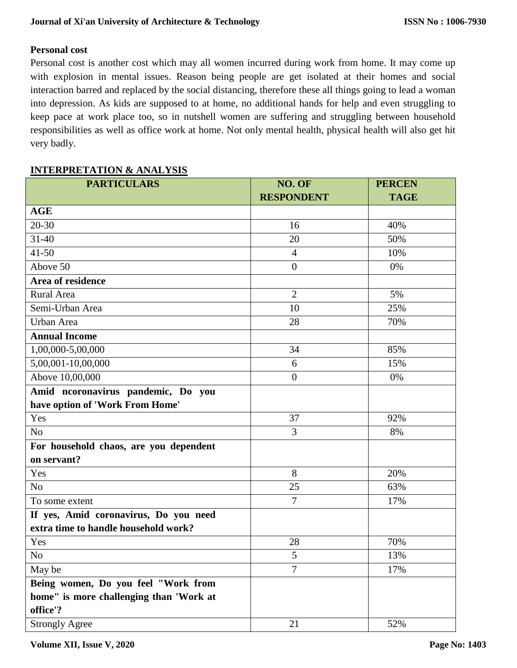# **Personal cost**

Personal cost is another cost which may all women incurred during work from home. It may come up with explosion in mental issues. Reason being people are get isolated at their homes and social interaction barred and replaced by the social distancing, therefore these all things going to lead a woman into depression. As kids are supposed to at home, no additional hands for help and even struggling to keep pace at work place too, so in nutshell women are suffering and struggling between household responsibilities as well as office work at home. Not only mental health, physical health will also get hit very badly.

## **INTERPRETATION & ANALYSIS**

| <b>PARTICULARS</b>                                    | NO. OF<br><b>RESPONDENT</b> | <b>PERCEN</b><br><b>TAGE</b> |
|-------------------------------------------------------|-----------------------------|------------------------------|
| <b>AGE</b>                                            |                             |                              |
| $20 - 30$                                             | 16                          | 40%                          |
| $31 - 40$                                             | 20                          | 50%                          |
| $41 - 50$                                             | $\overline{4}$              | 10%                          |
| Above 50                                              | $\boldsymbol{0}$            | 0%                           |
| Area of residence                                     |                             |                              |
| Rural Area                                            | $\overline{2}$              | 5%                           |
| Semi-Urban Area                                       | 10                          | 25%                          |
| Urban Area                                            | 28                          | 70%                          |
| <b>Annual Income</b>                                  |                             |                              |
| 1,00,000-5,00,000                                     | 34                          | 85%                          |
| 5,00,001-10,00,000                                    | 6                           | 15%                          |
| Above 10,00,000                                       | $\boldsymbol{0}$            | 0%                           |
| Amid ncoronavirus pandemic, Do you                    |                             |                              |
| have option of 'Work From Home'                       |                             |                              |
| Yes                                                   | 37                          | 92%                          |
| N <sub>o</sub>                                        | 3                           | 8%                           |
| For household chaos, are you dependent<br>on servant? |                             |                              |
| Yes                                                   | 8                           | 20%                          |
| N <sub>o</sub>                                        | 25                          | 63%                          |
| To some extent                                        | $\overline{7}$              | 17%                          |
| If yes, Amid coronavirus, Do you need                 |                             |                              |
| extra time to handle household work?                  |                             |                              |
| Yes                                                   | 28                          | 70%                          |
| No                                                    | 5                           | 13%                          |
| May be                                                | $\overline{7}$              | 17%                          |
| Being women, Do you feel "Work from                   |                             |                              |
| home" is more challenging than 'Work at<br>office'?   |                             |                              |
| <b>Strongly Agree</b>                                 | 21                          | 52%                          |

**Volume XII, Issue V, 2020**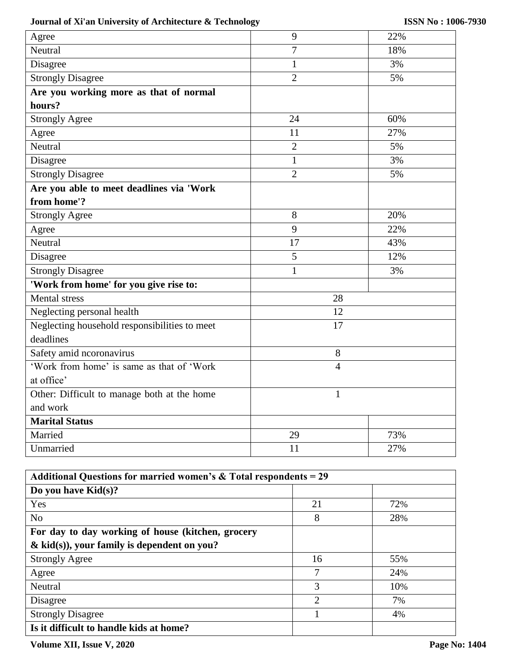# **Journal of Xi'an University of Architecture & Technology**

| Agree                                         | 9              | 22% |
|-----------------------------------------------|----------------|-----|
| Neutral                                       | $\overline{7}$ | 18% |
| Disagree                                      | $\mathbf{1}$   | 3%  |
| <b>Strongly Disagree</b>                      | $\overline{2}$ | 5%  |
| Are you working more as that of normal        |                |     |
| hours?                                        |                |     |
| <b>Strongly Agree</b>                         | 24             | 60% |
| Agree                                         | 11             | 27% |
| Neutral                                       | $\overline{2}$ | 5%  |
| Disagree                                      | $\mathbf{1}$   | 3%  |
| <b>Strongly Disagree</b>                      | $\overline{2}$ | 5%  |
| Are you able to meet deadlines via 'Work      |                |     |
| from home'?                                   |                |     |
| <b>Strongly Agree</b>                         | 8              | 20% |
| Agree                                         | 9              | 22% |
| Neutral                                       | 17             | 43% |
| Disagree                                      | $\overline{5}$ | 12% |
| <b>Strongly Disagree</b>                      | $\mathbf{1}$   | 3%  |
| 'Work from home' for you give rise to:        |                |     |
| <b>Mental</b> stress                          | 28             |     |
| Neglecting personal health                    | 12             |     |
| Neglecting household responsibilities to meet | 17             |     |
| deadlines                                     |                |     |
| Safety amid ncoronavirus                      | 8              |     |
| 'Work from home' is same as that of 'Work'    | $\overline{4}$ |     |
| at office'                                    |                |     |
| Other: Difficult to manage both at the home   | $\mathbf{1}$   |     |
| and work                                      |                |     |
| <b>Marital Status</b>                         |                |     |
| Married                                       | 29             | 73% |
| Unmarried                                     | 11             | 27% |

| Additional Questions for married women's $&$ Total respondents = 29 |                |     |  |  |
|---------------------------------------------------------------------|----------------|-----|--|--|
| Do you have $Kid(s)$ ?                                              |                |     |  |  |
| Yes                                                                 | 21             | 72% |  |  |
| N <sub>o</sub>                                                      | 8              | 28% |  |  |
| For day to day working of house (kitchen, grocery                   |                |     |  |  |
| $\&$ kid(s)), your family is dependent on you?                      |                |     |  |  |
| <b>Strongly Agree</b>                                               | 16             | 55% |  |  |
| Agree                                                               | 7              | 24% |  |  |
| Neutral                                                             | 3              | 10% |  |  |
| Disagree                                                            | $\overline{2}$ | 7%  |  |  |
| <b>Strongly Disagree</b>                                            |                | 4%  |  |  |
| Is it difficult to handle kids at home?                             |                |     |  |  |

**Volume XII, Issue V, 2020**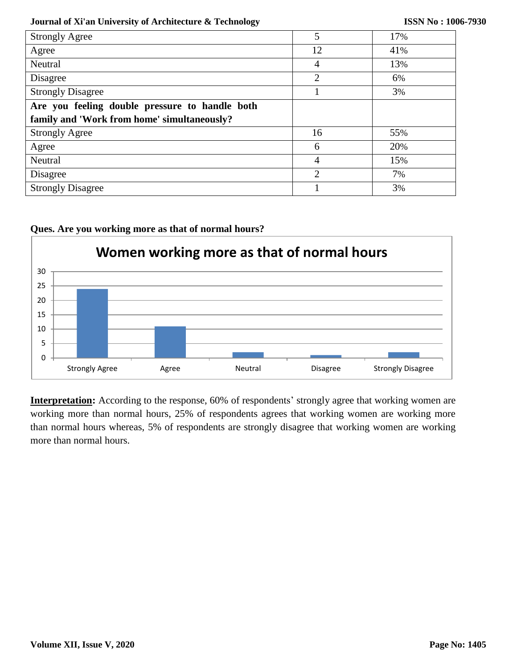#### **Journal of Xi'an University of Architecture & Technology**

| <b>Strongly Agree</b>                          | 5              | 17% |  |  |
|------------------------------------------------|----------------|-----|--|--|
| Agree                                          | 12             | 41% |  |  |
| Neutral                                        | 4              | 13% |  |  |
| Disagree                                       | $\overline{2}$ | 6%  |  |  |
| <b>Strongly Disagree</b>                       |                | 3%  |  |  |
| Are you feeling double pressure to handle both |                |     |  |  |
| family and 'Work from home' simultaneously?    |                |     |  |  |
| <b>Strongly Agree</b>                          | 16             | 55% |  |  |
| Agree                                          | 6              | 20% |  |  |
| Neutral                                        | 4              | 15% |  |  |
| Disagree                                       | $\overline{2}$ | 7%  |  |  |
| <b>Strongly Disagree</b>                       |                | 3%  |  |  |



**Ques. Are you working more as that of normal hours?**

**Interpretation:** According to the response, 60% of respondents' strongly agree that working women are working more than normal hours, 25% of respondents agrees that working women are working more than normal hours whereas, 5% of respondents are strongly disagree that working women are working more than normal hours.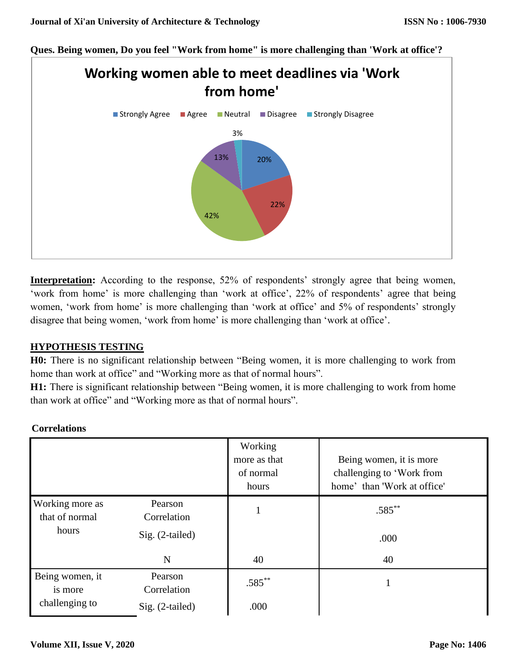**Ques. Being women, Do you feel "Work from home" is more challenging than 'Work at office'?**



**Interpretation:** According to the response, 52% of respondents' strongly agree that being women, 'work from home' is more challenging than 'work at office', 22% of respondents' agree that being women, 'work from home' is more challenging than 'work at office' and 5% of respondents' strongly disagree that being women, 'work from home' is more challenging than 'work at office'.

# **HYPOTHESIS TESTING**

**H0:** There is no significant relationship between "Being women, it is more challenging to work from home than work at office" and "Working more as that of normal hours".

**H1:** There is significant relationship between "Being women, it is more challenging to work from home than work at office" and "Working more as that of normal hours".

|                                              |                        | Working<br>more as that<br>of normal<br>hours | Being women, it is more<br>challenging to 'Work from<br>home' than 'Work at office' |
|----------------------------------------------|------------------------|-----------------------------------------------|-------------------------------------------------------------------------------------|
| Working more as<br>that of normal<br>hours   | Pearson<br>Correlation |                                               | $.585***$                                                                           |
|                                              | $Sig. (2-tailed)$      |                                               | .000                                                                                |
|                                              | N                      | 40                                            | 40                                                                                  |
| Being women, it<br>is more<br>challenging to | Pearson<br>Correlation | $.585***$                                     |                                                                                     |
|                                              | $Sig. (2-tailed)$      | .000                                          |                                                                                     |

#### **Correlations**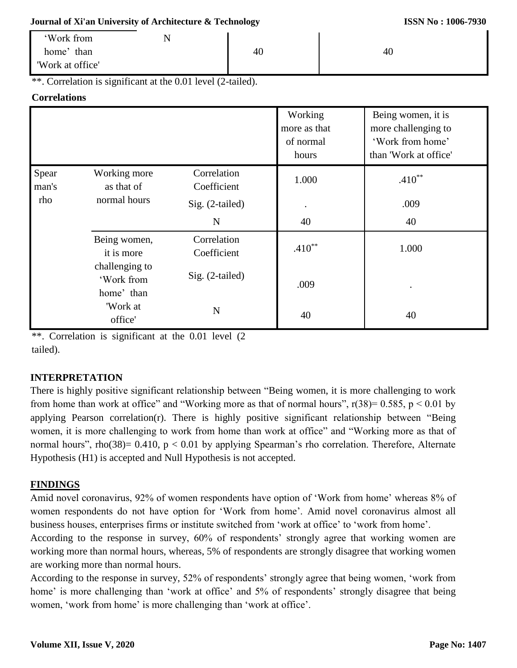#### **Journal of Xi'an University of Architecture & Technology**

| 'Work from       | N |    |    |  |
|------------------|---|----|----|--|
| home'<br>than    |   | 40 | 40 |  |
| 'Work at office' |   |    |    |  |

\*\*. Correlation is significant at the 0.01 level (2-tailed).

## **Correlations**

|                       |                                            |                            | Working<br>more as that<br>of normal<br>hours | Being women, it is<br>more challenging to<br>'Work from home'<br>than 'Work at office' |
|-----------------------|--------------------------------------------|----------------------------|-----------------------------------------------|----------------------------------------------------------------------------------------|
| Spear<br>man's<br>rho | Working more<br>as that of                 | Correlation<br>Coefficient | 1.000                                         | $.410**$                                                                               |
|                       | normal hours                               | Sig. (2-tailed)            |                                               | .009                                                                                   |
|                       |                                            | N                          | 40                                            | 40                                                                                     |
|                       | Being women,<br>it is more                 | Correlation<br>Coefficient | $.410**$                                      | 1.000                                                                                  |
|                       | challenging to<br>'Work from<br>home' than | Sig. (2-tailed)            | .009                                          |                                                                                        |
|                       | 'Work at<br>office'                        | $\mathbf N$                | 40                                            | 40                                                                                     |

\*\*. Correlation is significant at the 0.01 level (2 tailed).

# **INTERPRETATION**

There is highly positive significant relationship between "Being women, it is more challenging to work from home than work at office" and "Working more as that of normal hours",  $r(38)=0.585$ ,  $p < 0.01$  by applying Pearson correlation(r). There is highly positive significant relationship between "Being women, it is more challenging to work from home than work at office" and "Working more as that of normal hours", rho(38)=  $0.410$ , p <  $0.01$  by applying Spearman's rho correlation. Therefore, Alternate Hypothesis (H1) is accepted and Null Hypothesis is not accepted.

# **FINDINGS**

Amid novel coronavirus, 92% of women respondents have option of 'Work from home' whereas 8% of women respondents do not have option for 'Work from home'. Amid novel coronavirus almost all business houses, enterprises firms or institute switched from 'work at office' to 'work from home'.

According to the response in survey, 60% of respondents' strongly agree that working women are working more than normal hours, whereas, 5% of respondents are strongly disagree that working women are working more than normal hours.

According to the response in survey, 52% of respondents' strongly agree that being women, 'work from home' is more challenging than 'work at office' and 5% of respondents' strongly disagree that being women, 'work from home' is more challenging than 'work at office'.